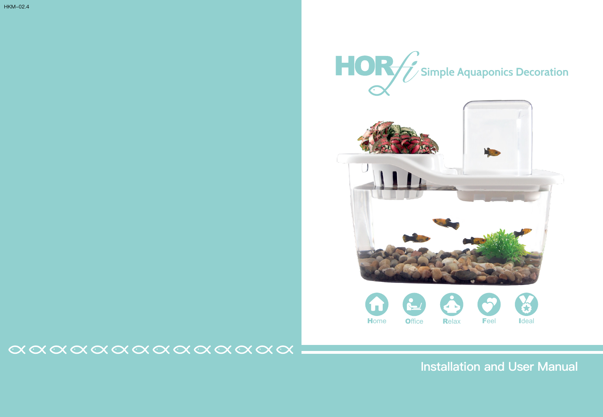



### $\alpha \alpha \alpha \alpha \alpha \alpha \alpha \alpha \alpha \alpha \alpha \alpha \alpha$

# **Installation and User Manual**